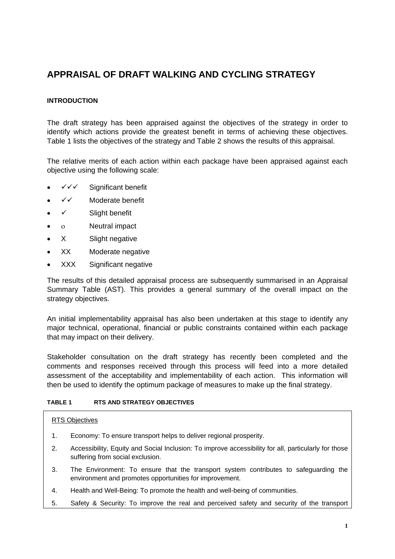# **APPRAISAL OF DRAFT WALKING AND CYCLING STRATEGY**

## **INTRODUCTION**

The draft strategy has been appraised against the objectives of the strategy in order to identify which actions provide the greatest benefit in terms of achieving these objectives. [Table 1](#page-0-0) lists the objectives of the strategy and [Table 2](#page-2-0) shows the results of this appraisal.

The relative merits of each action within each package have been appraised against each objective using the following scale:

- $\checkmark\checkmark$  Significant benefit
- $\checkmark$  Moderate benefit
- $\bullet \quad \checkmark$  Slight benefit
- ο Neutral impact
- X Slight negative
- XX Moderate negative
- XXX Significant negative

The results of this detailed appraisal process are subsequently summarised in an Appraisal Summary Table (AST). This provides a general summary of the overall impact on the strategy objectives.

An initial implementability appraisal has also been undertaken at this stage to identify any major technical, operational, financial or public constraints contained within each package that may impact on their delivery.

Stakeholder consultation on the draft strategy has recently been completed and the comments and responses received through this process will feed into a more detailed assessment of the acceptability and implementability of each action. This information will then be used to identify the optimum package of measures to make up the final strategy.

## <span id="page-0-0"></span>**TABLE 1 RTS AND STRATEGY OBJECTIVES**

### RTS Objectives

- 1. Economy: To ensure transport helps to deliver regional prosperity.
- 2. Accessibility, Equity and Social Inclusion: To improve accessibility for all, particularly for those suffering from social exclusion.
- 3. The Environment: To ensure that the transport system contributes to safeguarding the environment and promotes opportunities for improvement.
- 4. Health and Well-Being: To promote the health and well-being of communities.
- 5. Safety & Security: To improve the real and perceived safety and security of the transport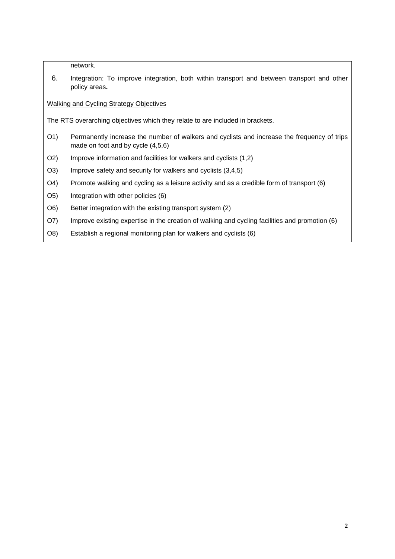network.

6. Integration: To improve integration, both within transport and between transport and other policy areas**.**

Walking and Cycling Strategy Objectives

The RTS overarching objectives which they relate to are included in brackets.

- O1) Permanently increase the number of walkers and cyclists and increase the frequency of trips made on foot and by cycle (4,5,6)
- O2) Improve information and facilities for walkers and cyclists (1,2)
- O3) Improve safety and security for walkers and cyclists (3,4,5)
- O4) Promote walking and cycling as a leisure activity and as a credible form of transport (6)
- O5) Integration with other policies (6)
- O6) Better integration with the existing transport system (2)
- O7) Improve existing expertise in the creation of walking and cycling facilities and promotion (6)
- O8) Establish a regional monitoring plan for walkers and cyclists (6)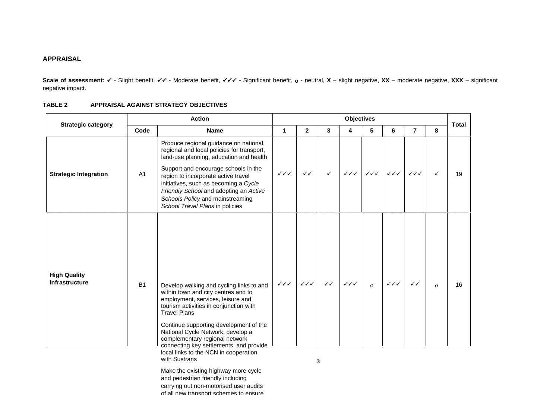#### **APPRAISAL**

Scale of assessment: √ - Slight benefit, √√ - Moderate benefit, √√√ - Significant benefit, o - neutral, X – slight negative, XX – moderate negative, XXX – significant negative impact.

#### **TABLE 2 APPRAISAL AGAINST STRATEGY OBJECTIVES**

|                                       |                | <b>Action</b>                                                                                                                                                                                                                                                                                                                                     | <b>Objectives</b>      |                        |              |                        |                                  |                                  |                        |              | <b>Total</b> |
|---------------------------------------|----------------|---------------------------------------------------------------------------------------------------------------------------------------------------------------------------------------------------------------------------------------------------------------------------------------------------------------------------------------------------|------------------------|------------------------|--------------|------------------------|----------------------------------|----------------------------------|------------------------|--------------|--------------|
| <b>Strategic category</b>             | Code           | <b>Name</b>                                                                                                                                                                                                                                                                                                                                       |                        | $\overline{2}$         | $\mathbf{3}$ | 4                      | 5                                | 6                                | $\overline{7}$         | 8            |              |
| <b>Strategic Integration</b>          | A <sub>1</sub> | Produce regional guidance on national,<br>regional and local policies for transport,<br>land-use planning, education and health<br>Support and encourage schools in the<br>region to incorporate active travel<br>initiatives, such as becoming a Cycle<br>Friendly School and adopting an Active                                                 | $\checkmark\checkmark$ | $\checkmark$           | $\checkmark$ | $\checkmark\checkmark$ | $\checkmark\checkmark\checkmark$ | $\checkmark\checkmark\checkmark$ | $\checkmark\checkmark$ | ✓            | 19           |
|                                       |                | Schools Policy and mainstreaming<br>School Travel Plans in policies                                                                                                                                                                                                                                                                               |                        |                        |              |                        |                                  |                                  |                        |              |              |
| <b>High Quality</b><br>Infrastructure | <b>B1</b>      | Develop walking and cycling links to and<br>within town and city centres and to<br>employment, services, leisure and<br>tourism activities in conjunction with<br><b>Travel Plans</b><br>Continue supporting development of the<br>National Cycle Network, develop a<br>complementary regional network<br>connecting key settlements, and provide | $\checkmark\checkmark$ | $\checkmark\checkmark$ | $\checkmark$ | $\checkmark\checkmark$ | $\mathbf{o}$                     | $\checkmark\checkmark$           | ✓✓                     | $\mathbf{o}$ | 16           |
|                                       |                | local links to the NCN in cooperation<br>with Sustrans                                                                                                                                                                                                                                                                                            |                        |                        | 3            |                        |                                  |                                  |                        |              |              |
|                                       |                | Make the existing highway more cycle<br>and pedestrian friendly including<br>carrying out non-motorised user audits                                                                                                                                                                                                                               |                        |                        |              |                        |                                  |                                  |                        |              |              |

<span id="page-2-0"></span>of all new transport schemes to ensure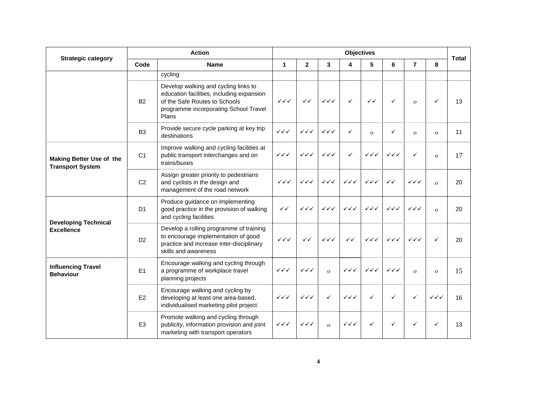| <b>Strategic category</b>                           | <b>Action</b>  |                                                                                                                                                                      |                                  | <b>Objectives</b>                |                                  |                        |                                  |                                  |                                  |                        |              |
|-----------------------------------------------------|----------------|----------------------------------------------------------------------------------------------------------------------------------------------------------------------|----------------------------------|----------------------------------|----------------------------------|------------------------|----------------------------------|----------------------------------|----------------------------------|------------------------|--------------|
|                                                     | Code           | <b>Name</b>                                                                                                                                                          | $\mathbf 1$                      | $\mathbf{2}$                     | 3                                | 4                      | 5                                | 6                                | $\overline{7}$                   | 8                      | <b>Total</b> |
|                                                     |                | cycling                                                                                                                                                              |                                  |                                  |                                  |                        |                                  |                                  |                                  |                        |              |
|                                                     | <b>B2</b>      | Develop walking and cycling links to<br>education facilities, including expansion<br>of the Safe Routes to Schools<br>programme incorporating School Travel<br>Plans | $\checkmark\checkmark$           | $\checkmark$                     | $\checkmark\checkmark$           | $\checkmark$           | $\checkmark$                     | $\checkmark$                     | $\mathbf{O}$                     | $\checkmark$           | 13           |
|                                                     | B <sub>3</sub> | Provide secure cycle parking at key trip<br>destinations                                                                                                             | $\checkmark\checkmark$           | $\checkmark\checkmark$           | $\checkmark\checkmark$           | ✓                      | $\Omega$                         | $\checkmark$                     | $\Omega$                         | $\mathbf{o}$           | 11           |
| Making Better Use of the<br><b>Transport System</b> | C1             | Improve walking and cycling facilities at<br>$\checkmark\checkmark$<br>public transport interchanges and on<br>trains/buses                                          |                                  | $\checkmark\checkmark$           | $\checkmark\checkmark$           | $\checkmark$           | $\checkmark\checkmark$           | $\checkmark\checkmark$           | $\checkmark$                     | $\mathbf{o}$           | 17           |
|                                                     | C <sub>2</sub> | Assign greater priority to pedestrians<br>and cyclists in the design and<br>management of the road network                                                           |                                  | $\checkmark\checkmark\checkmark$ | $\checkmark\checkmark$           | $\checkmark\checkmark$ | $\checkmark\checkmark$           | $\checkmark$                     | $\checkmark\checkmark$           | $\Omega$               | 20           |
| <b>Developing Technical</b><br><b>Excellence</b>    | D <sub>1</sub> | Produce guidance on implementing<br>good practice in the provision of walking<br>and cycling facilities                                                              |                                  | $\checkmark\checkmark$           | $\checkmark\checkmark$           | $\checkmark\checkmark$ | $\checkmark\checkmark$           | $\checkmark\checkmark$           | $\checkmark\checkmark\checkmark$ | $\Omega$               | 20           |
|                                                     | D <sub>2</sub> | Develop a rolling programme of training<br>to encourage implementation of good<br>practice and increase inter-disciplinary<br>skills and awareness                   | $\checkmark\checkmark\checkmark$ | $\checkmark$                     | $\checkmark\checkmark\checkmark$ | $\checkmark$           | $\checkmark\checkmark\checkmark$ | $\checkmark\checkmark\checkmark$ | $\checkmark\checkmark$           | $\checkmark$           | 20           |
| <b>Influencing Travel</b><br><b>Behaviour</b>       | E1             | Encourage walking and cycling through<br>a programme of workplace travel<br>planning projects                                                                        | $\checkmark\checkmark$           | $\checkmark\checkmark$           | $\Omega$                         | $\checkmark\checkmark$ | $\checkmark\checkmark$           | $\checkmark\checkmark$           | $\Omega$                         | $\mathbf{o}$           | 15           |
|                                                     | E2             | Encourage walking and cycling by<br>developing at least one area-based,<br>individualised marketing pilot project                                                    | $\checkmark\checkmark$           | $\checkmark\checkmark$           | $\checkmark$                     | $\checkmark\checkmark$ | ✓                                | $\checkmark$                     | $\checkmark$                     | $\checkmark\checkmark$ | 16           |
|                                                     | E <sub>3</sub> | Promote walking and cycling through<br>publicity, information provision and joint<br>marketing with transport operators                                              | $\checkmark\checkmark$           | $\checkmark\checkmark$           | $\mathbf{o}$                     | $\checkmark\checkmark$ | $\checkmark$                     | $\checkmark$                     | $\checkmark$                     | $\checkmark$           | 13           |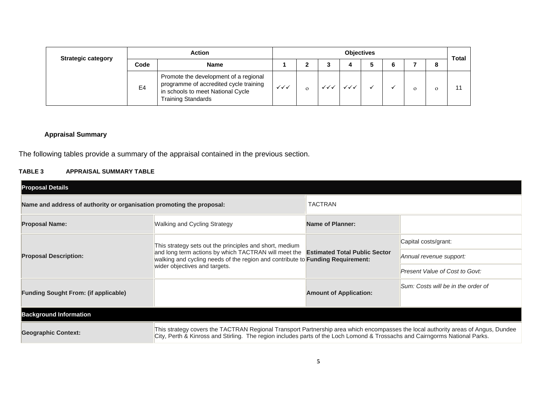| <b>Strategic category</b> | <b>Action</b> |                                                                                                                                                   |                        | <b>Objectives</b> |  |  |  |  |  |   | Total |
|---------------------------|---------------|---------------------------------------------------------------------------------------------------------------------------------------------------|------------------------|-------------------|--|--|--|--|--|---|-------|
|                           | Code          | <b>Name</b>                                                                                                                                       |                        |                   |  |  |  |  |  | 8 |       |
|                           | E4            | Promote the development of a regional<br>programme of accredited cycle training<br>in schools to meet National Cycle<br><b>Training Standards</b> | $\checkmark\checkmark$ |                   |  |  |  |  |  |   |       |

## **Appraisal Summary**

The following tables provide a summary of the appraisal contained in the previous section.

#### **TABLE 3 APPRAISAL SUMMARY TABLE**

| <b>Proposal Details</b>                                               |                                                                                                                                                                                                                                                                  |                               |                                    |  |  |  |
|-----------------------------------------------------------------------|------------------------------------------------------------------------------------------------------------------------------------------------------------------------------------------------------------------------------------------------------------------|-------------------------------|------------------------------------|--|--|--|
| Name and address of authority or organisation promoting the proposal: |                                                                                                                                                                                                                                                                  | <b>TACTRAN</b>                |                                    |  |  |  |
| <b>Proposal Name:</b>                                                 | Walking and Cycling Strategy                                                                                                                                                                                                                                     | <b>Name of Planner:</b>       |                                    |  |  |  |
|                                                                       | This strategy sets out the principles and short, medium                                                                                                                                                                                                          |                               | Capital costs/grant:               |  |  |  |
| <b>Proposal Description:</b>                                          | and long term actions by which TACTRAN will meet the <b>Estimated Total Public Sector</b><br>walking and cycling needs of the region and contribute to <b>Funding Requirement:</b>                                                                               | Annual revenue support:       |                                    |  |  |  |
|                                                                       | wider objectives and targets.                                                                                                                                                                                                                                    |                               | Present Value of Cost to Govt:     |  |  |  |
| <b>Funding Sought From: (if applicable)</b>                           |                                                                                                                                                                                                                                                                  | <b>Amount of Application:</b> | Sum: Costs will be in the order of |  |  |  |
| <b>Background Information</b>                                         |                                                                                                                                                                                                                                                                  |                               |                                    |  |  |  |
|                                                                       |                                                                                                                                                                                                                                                                  |                               |                                    |  |  |  |
| <b>Geographic Context:</b>                                            | This strategy covers the TACTRAN Regional Transport Partnership area which encompasses the local authority areas of Angus, Dundee<br>City, Perth & Kinross and Stirling. The region includes parts of the Loch Lomond & Trossachs and Cairngorms National Parks. |                               |                                    |  |  |  |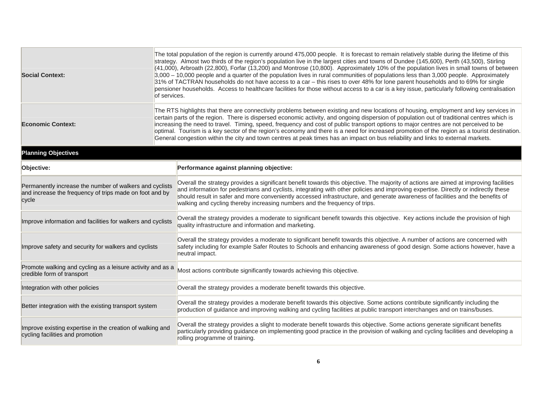| <b>Social Context:</b>                                                                                                      | of services. | The total population of the region is currently around 475,000 people. It is forecast to remain relatively stable during the lifetime of this<br>strategy. Almost two thirds of the region's population live in the largest cities and towns of Dundee (145,600), Perth (43,500), Stirling<br>$(41,000)$ , Arbroath (22,800), Forfar (13,200) and Montrose (10,800). Approximately 10% of the population lives in small towns of between<br>$3,000 - 10,000$ people and a quarter of the population lives in rural communities of populations less than 3,000 people. Approximately<br>31% of TACTRAN households do not have access to a car - this rises to over 48% for lone parent households and to 69% for single<br>pensioner households. Access to healthcare facilities for those without access to a car is a key issue, particularly following centralisation |  |  |  |  |  |  |  |
|-----------------------------------------------------------------------------------------------------------------------------|--------------|-------------------------------------------------------------------------------------------------------------------------------------------------------------------------------------------------------------------------------------------------------------------------------------------------------------------------------------------------------------------------------------------------------------------------------------------------------------------------------------------------------------------------------------------------------------------------------------------------------------------------------------------------------------------------------------------------------------------------------------------------------------------------------------------------------------------------------------------------------------------------|--|--|--|--|--|--|--|
| <b>Economic Context:</b>                                                                                                    |              | The RTS highlights that there are connectivity problems between existing and new locations of housing, employment and key services in<br>certain parts of the region. There is dispersed economic activity, and ongoing dispersion of population out of traditional centres which is<br>increasing the need to travel. Timing, speed, frequency and cost of public transport options to major centres are not perceived to be<br>optimal. Tourism is a key sector of the region's economy and there is a need for increased promotion of the region as a tourist destination.<br>General congestion within the city and town centres at peak times has an impact on bus reliability and links to external markets.                                                                                                                                                      |  |  |  |  |  |  |  |
| <b>Planning Objectives</b>                                                                                                  |              |                                                                                                                                                                                                                                                                                                                                                                                                                                                                                                                                                                                                                                                                                                                                                                                                                                                                         |  |  |  |  |  |  |  |
| Objective:                                                                                                                  |              | Performance against planning objective:                                                                                                                                                                                                                                                                                                                                                                                                                                                                                                                                                                                                                                                                                                                                                                                                                                 |  |  |  |  |  |  |  |
| Permanently increase the number of walkers and cyclists<br>and increase the frequency of trips made on foot and by<br>cycle |              | Overall the strategy provides a significant benefit towards this objective. The majority of actions are aimed at improving facilities<br>and information for pedestrians and cyclists, integrating with other policies and improving expertise. Directly or indirectly these<br>should result in safer and more conveniently accessed infrastructure, and generate awareness of facilities and the benefits of<br>walking and cycling thereby increasing numbers and the frequency of trips.                                                                                                                                                                                                                                                                                                                                                                            |  |  |  |  |  |  |  |
| Improve information and facilities for walkers and cyclists                                                                 |              | Overall the strategy provides a moderate to significant benefit towards this objective. Key actions include the provision of high<br>quality infrastructure and information and marketing.                                                                                                                                                                                                                                                                                                                                                                                                                                                                                                                                                                                                                                                                              |  |  |  |  |  |  |  |
| Improve safety and security for walkers and cyclists                                                                        |              | Overall the strategy provides a moderate to significant benefit towards this objective. A number of actions are concerned with<br>safety including for example Safer Routes to Schools and enhancing awareness of good design. Some actions however, have a<br>neutral impact.                                                                                                                                                                                                                                                                                                                                                                                                                                                                                                                                                                                          |  |  |  |  |  |  |  |
| Promote walking and cycling as a leisure activity and as a<br>credible form of transport                                    |              | Most actions contribute significantly towards achieving this objective.                                                                                                                                                                                                                                                                                                                                                                                                                                                                                                                                                                                                                                                                                                                                                                                                 |  |  |  |  |  |  |  |
| Integration with other policies                                                                                             |              | Overall the strategy provides a moderate benefit towards this objective.                                                                                                                                                                                                                                                                                                                                                                                                                                                                                                                                                                                                                                                                                                                                                                                                |  |  |  |  |  |  |  |
| Better integration with the existing transport system                                                                       |              | Overall the strategy provides a moderate benefit towards this objective. Some actions contribute significantly including the<br>production of guidance and improving walking and cycling facilities at public transport interchanges and on trains/buses.                                                                                                                                                                                                                                                                                                                                                                                                                                                                                                                                                                                                               |  |  |  |  |  |  |  |
| Improve existing expertise in the creation of walking and<br>cycling facilities and promotion                               |              | Overall the strategy provides a slight to moderate benefit towards this objective. Some actions generate significant benefits<br>particularly providing guidance on implementing good practice in the provision of walking and cycling facilities and developing a<br>rolling programme of training.                                                                                                                                                                                                                                                                                                                                                                                                                                                                                                                                                                    |  |  |  |  |  |  |  |